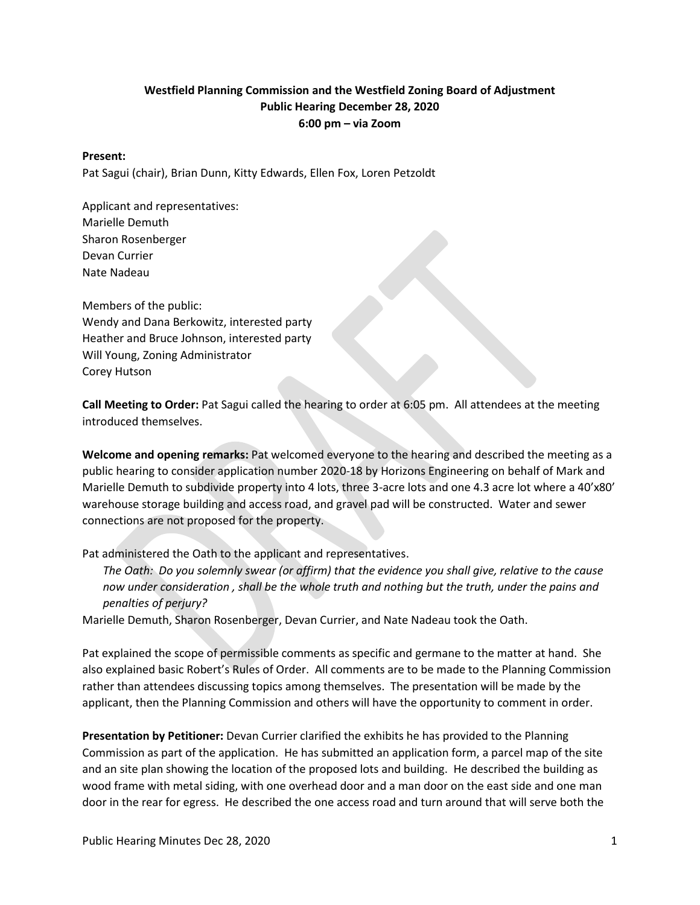## **Westfield Planning Commission and the Westfield Zoning Board of Adjustment Public Hearing December 28, 2020 6:00 pm – via Zoom**

#### **Present:**

Pat Sagui (chair), Brian Dunn, Kitty Edwards, Ellen Fox, Loren Petzoldt

Applicant and representatives: Marielle Demuth Sharon Rosenberger Devan Currier Nate Nadeau

Members of the public: Wendy and Dana Berkowitz, interested party Heather and Bruce Johnson, interested party Will Young, Zoning Administrator Corey Hutson

**Call Meeting to Order:** Pat Sagui called the hearing to order at 6:05 pm. All attendees at the meeting introduced themselves.

**Welcome and opening remarks:** Pat welcomed everyone to the hearing and described the meeting as a public hearing to consider application number 2020-18 by Horizons Engineering on behalf of Mark and Marielle Demuth to subdivide property into 4 lots, three 3-acre lots and one 4.3 acre lot where a 40'x80' warehouse storage building and access road, and gravel pad will be constructed. Water and sewer connections are not proposed for the property.

Pat administered the Oath to the applicant and representatives.

*The Oath: Do you solemnly swear (or affirm) that the evidence you shall give, relative to the cause now under consideration , shall be the whole truth and nothing but the truth, under the pains and penalties of perjury?*

Marielle Demuth, Sharon Rosenberger, Devan Currier, and Nate Nadeau took the Oath.

Pat explained the scope of permissible comments as specific and germane to the matter at hand. She also explained basic Robert's Rules of Order. All comments are to be made to the Planning Commission rather than attendees discussing topics among themselves. The presentation will be made by the applicant, then the Planning Commission and others will have the opportunity to comment in order.

**Presentation by Petitioner:** Devan Currier clarified the exhibits he has provided to the Planning Commission as part of the application. He has submitted an application form, a parcel map of the site and an site plan showing the location of the proposed lots and building. He described the building as wood frame with metal siding, with one overhead door and a man door on the east side and one man door in the rear for egress. He described the one access road and turn around that will serve both the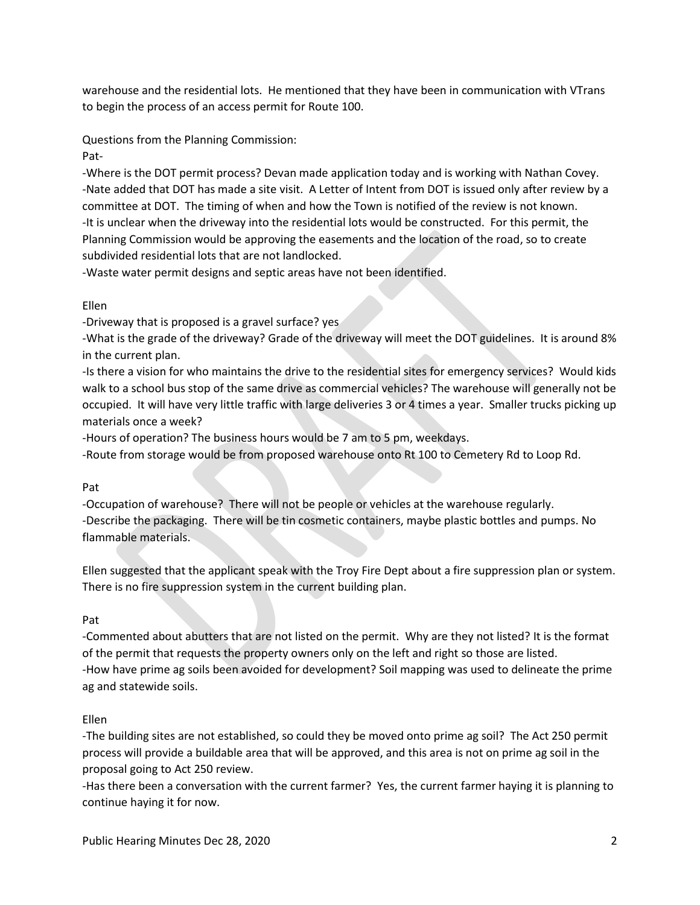warehouse and the residential lots. He mentioned that they have been in communication with VTrans to begin the process of an access permit for Route 100.

Questions from the Planning Commission:

Pat-

-Where is the DOT permit process? Devan made application today and is working with Nathan Covey. -Nate added that DOT has made a site visit. A Letter of Intent from DOT is issued only after review by a committee at DOT. The timing of when and how the Town is notified of the review is not known. -It is unclear when the driveway into the residential lots would be constructed. For this permit, the Planning Commission would be approving the easements and the location of the road, so to create subdivided residential lots that are not landlocked.

-Waste water permit designs and septic areas have not been identified.

## Ellen

-Driveway that is proposed is a gravel surface? yes

-What is the grade of the driveway? Grade of the driveway will meet the DOT guidelines. It is around 8% in the current plan.

-Is there a vision for who maintains the drive to the residential sites for emergency services? Would kids walk to a school bus stop of the same drive as commercial vehicles? The warehouse will generally not be occupied. It will have very little traffic with large deliveries 3 or 4 times a year. Smaller trucks picking up materials once a week?

-Hours of operation? The business hours would be 7 am to 5 pm, weekdays.

-Route from storage would be from proposed warehouse onto Rt 100 to Cemetery Rd to Loop Rd.

## Pat

-Occupation of warehouse? There will not be people or vehicles at the warehouse regularly. -Describe the packaging. There will be tin cosmetic containers, maybe plastic bottles and pumps. No flammable materials.

Ellen suggested that the applicant speak with the Troy Fire Dept about a fire suppression plan or system. There is no fire suppression system in the current building plan.

## Pat

-Commented about abutters that are not listed on the permit. Why are they not listed? It is the format of the permit that requests the property owners only on the left and right so those are listed. -How have prime ag soils been avoided for development? Soil mapping was used to delineate the prime ag and statewide soils.

# Ellen

-The building sites are not established, so could they be moved onto prime ag soil? The Act 250 permit process will provide a buildable area that will be approved, and this area is not on prime ag soil in the proposal going to Act 250 review.

-Has there been a conversation with the current farmer? Yes, the current farmer haying it is planning to continue haying it for now.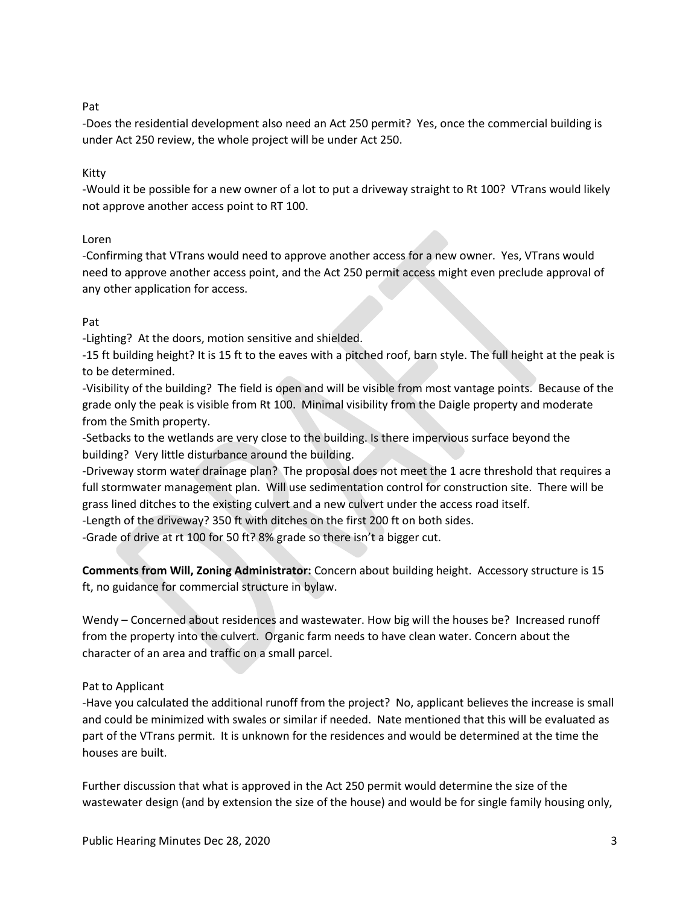#### Pat

-Does the residential development also need an Act 250 permit? Yes, once the commercial building is under Act 250 review, the whole project will be under Act 250.

#### Kitty

-Would it be possible for a new owner of a lot to put a driveway straight to Rt 100? VTrans would likely not approve another access point to RT 100.

### Loren

-Confirming that VTrans would need to approve another access for a new owner. Yes, VTrans would need to approve another access point, and the Act 250 permit access might even preclude approval of any other application for access.

### Pat

-Lighting? At the doors, motion sensitive and shielded.

-15 ft building height? It is 15 ft to the eaves with a pitched roof, barn style. The full height at the peak is to be determined.

-Visibility of the building? The field is open and will be visible from most vantage points. Because of the grade only the peak is visible from Rt 100. Minimal visibility from the Daigle property and moderate from the Smith property.

-Setbacks to the wetlands are very close to the building. Is there impervious surface beyond the building? Very little disturbance around the building.

-Driveway storm water drainage plan? The proposal does not meet the 1 acre threshold that requires a full stormwater management plan. Will use sedimentation control for construction site. There will be grass lined ditches to the existing culvert and a new culvert under the access road itself.

-Length of the driveway? 350 ft with ditches on the first 200 ft on both sides.

-Grade of drive at rt 100 for 50 ft? 8% grade so there isn't a bigger cut.

**Comments from Will, Zoning Administrator:** Concern about building height. Accessory structure is 15 ft, no guidance for commercial structure in bylaw.

Wendy – Concerned about residences and wastewater. How big will the houses be? Increased runoff from the property into the culvert. Organic farm needs to have clean water. Concern about the character of an area and traffic on a small parcel.

## Pat to Applicant

-Have you calculated the additional runoff from the project? No, applicant believes the increase is small and could be minimized with swales or similar if needed. Nate mentioned that this will be evaluated as part of the VTrans permit. It is unknown for the residences and would be determined at the time the houses are built.

Further discussion that what is approved in the Act 250 permit would determine the size of the wastewater design (and by extension the size of the house) and would be for single family housing only,